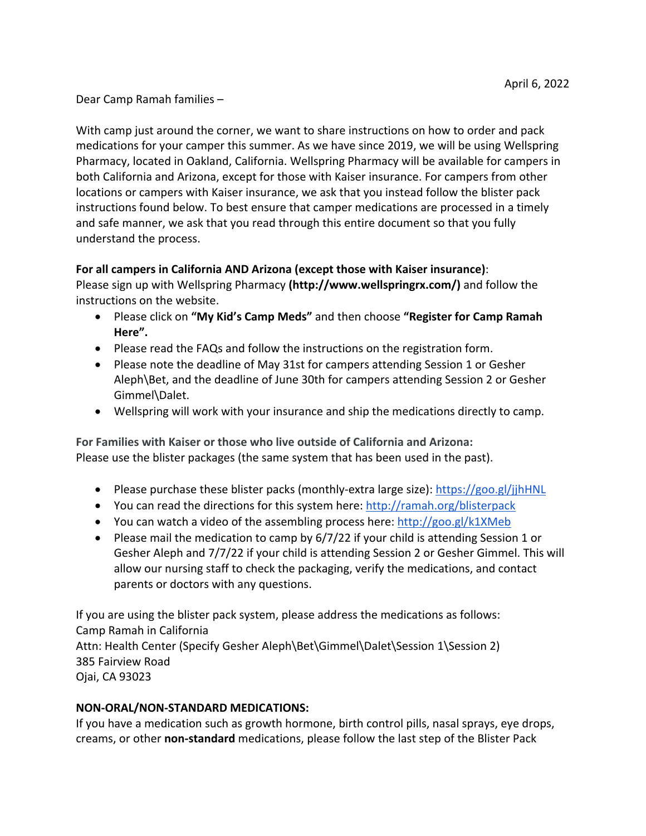Dear Camp Ramah families –

With camp just around the corner, we want to share instructions on how to order and pack medications for your camper this summer. As we have since 2019, we will be using Wellspring Pharmacy, located in Oakland, California. Wellspring Pharmacy will be available for campers in both California and Arizona, except for those with Kaiser insurance. For campers from other locations or campers with Kaiser insurance, we ask that you instead follow the blister pack instructions found below. To best ensure that camper medications are processed in a timely and safe manner, we ask that you read through this entire document so that you fully understand the process.

## **For all campers in California AND Arizona (except those with Kaiser insurance)**:

Please sign up with Wellspring Pharmacy **(http://www.wellspringrx.com/)** and follow the instructions on the website.

- Please click on **"My Kid's Camp Meds"** and then choose **"Register for Camp Ramah Here".**
- Please read the FAQs and follow the instructions on the registration form.
- Please note the deadline of May 31st for campers attending Session 1 or Gesher Aleph\Bet, and the deadline of June 30th for campers attending Session 2 or Gesher Gimmel\Dalet.
- Wellspring will work with your insurance and ship the medications directly to camp.

**For Families with Kaiser or those who live outside of California and Arizona:** Please use the blister packages (the same system that has been used in the past).

- Please purchase these blister packs (monthly-extra large size): https://goo.gl/jjhHNL
- You can read the directions for this system here: http://ramah.org/blisterpack
- $\bullet$  You can watch a video of the assembling process here: http://goo.gl/k1XMeb
- Please mail the medication to camp by 6/7/22 if your child is attending Session 1 or Gesher Aleph and 7/7/22 if your child is attending Session 2 or Gesher Gimmel. This will allow our nursing staff to check the packaging, verify the medications, and contact parents or doctors with any questions.

If you are using the blister pack system, please address the medications as follows: Camp Ramah in California Attn: Health Center (Specify Gesher Aleph\Bet\Gimmel\Dalet\Session 1\Session 2) 385 Fairview Road Ojai, CA 93023

## **NON‐ORAL/NON‐STANDARD MEDICATIONS:**

If you have a medication such as growth hormone, birth control pills, nasal sprays, eye drops, creams, or other **non‐standard** medications, please follow the last step of the Blister Pack